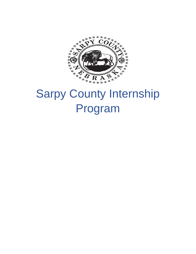

# Sarpy County Internship Program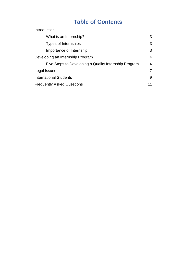# **Table of Contents**

| Introduction                                          |    |
|-------------------------------------------------------|----|
| What is an Internship?                                | 3  |
| Types of Internships                                  | 3  |
| Importance of Internship                              | 3  |
| Developing an Internship Program                      | 4  |
| Five Steps to Developing a Quality Internship Program | 4  |
| Legal Issues                                          | 7  |
| <b>International Students</b>                         | 9  |
| <b>Frequently Asked Questions</b>                     | 11 |
|                                                       |    |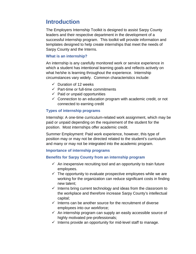# **Introduction**

The Employers Internship Toolkit is designed to assist Sarpy County leaders and their respective department in the development of a successful internship program. This toolkit will provide information and templates designed to help create internships that meet the needs of Sarpy County and the Interns.

#### **What is an internship?**

An internship is any carefully monitored work or service experience in which a student has intentional learning goals and reflects actively on what he/she is learning throughout the experience. Internship circumstances vary widely. Common characteristics include:

- $\checkmark$  Duration of 12 weeks
- $\checkmark$  Part-time or full-time commitments
- $\checkmark$  Paid or unpaid opportunities
- $\checkmark$  Connection to an education program with academic credit, or not connected to earning credit

# **Types of internship programs**

Internship: A one-time curriculum-related work assignment, which may be paid or unpaid depending on the requirement of the student for the position. Most internships offer academic credit.

Summer Employment: Paid work experience, however, this type of position may or may not be directed related to the student's curriculum and many or may not be integrated into the academic program.

# **Importance of internship programs**

# **Benefits for Sarpy County from an internship program**

- $\checkmark$  An inexpensive recruiting tool and an opportunity to train future employees.
- $\checkmark$  The opportunity to evaluate prospective employees while we are working for the organization can reduce significant costs in finding new talent;
- $\checkmark$  Interns bring current technology and ideas from the classroom to the workplace and therefore increase Sarpy County's intellectual capital;
- $\checkmark$  Interns can be another source for the recruitment of diverse employees into our workforce;
- $\checkmark$  An internship program can supply an easily accessible source of highly motivated pre-professionals;
- $\checkmark$  Interns provide an opportunity for mid-level staff to manage.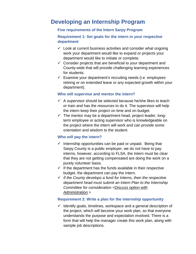# **Developing an Internship Program**

# **Five requirements of the Intern Sarpy Program**

# **Requirement 1: Set goals for the intern in your respective department**

- $\checkmark$  Look at current business activities and consider what ongoing work your department would like to expand or projects your department would like to initiate or complete.
- $\checkmark$  Consider projects that are beneficial to your department and County-wide that will provide challenging learning experiences for students.
- $\checkmark$  Examine your department's recruiting needs (i.e. employees retiring or on extended leave or any expected growth within your department).

# **Who will supervise and mentor the intern?**

- $\checkmark$  A supervisor should be selected because he/she likes to teach or train and has the resources to do it. The supervisor will help the intern keep their project on time and on budget.
- $\checkmark$  The mentor may be a department head, project leader, longterm employee or acting supervisor who is knowledgeable on the project where the intern will work and can provide some orientation and wisdom to the student.

# **Who will pay the intern?**

- $\checkmark$  Internship opportunities can be paid or unpaid. Being that Sarpy County is a public employer, we do not have to pay interns, however, according to FLSA, the Intern must be clear that they are not getting compensated are doing the work on a purely volunteer basis.
- $\checkmark$  If the department has the funds available in their respective budget, the department can pay the Intern.
- *If the County develops a fund for Interns, then the respective department head must submit an Intern Plan to the Internship Committee for consideration <Discuss option with Administration.>*

# **Requirement 2: Write a plan for the internship opportunity**

 $\checkmark$  Identify goals, timelines, workspace and a general description of the project, which will become your work plan, so that everyone understands the purpose and expectation involved. There is a form that will help the manager create this work plan, along with sample job descriptions.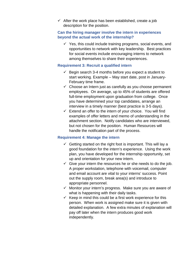$\checkmark$  After the work place has been established, create a job description for the position.

### **Can the hiring manager involve the intern in experiences beyond the actual work of the internship?**

 $\checkmark$  Yes, this could include training programs, social events, and opportunities to network with key leadership. Best practices for social events include encouraging interns to network among themselves to share their experiences.

#### **Requirement 3: Recruit a qualified intern**

- $\checkmark$  Begin search 3-4 months before you expect a student to start working. Example – May start date, post in January-February time frame.
- $\checkmark$  Choose an Intern just as carefully as you choose permanent employees. On average, up to 45% of students are offered full-time employment upon graduation from college. Once you have determined your top candidates, arrange an interview in a timely manner (best practice is 3-5 days).
- $\checkmark$  Extend an offer to the intern of your choice. You will find examples of offer letters and memo of understanding in the attachment section. Notify candidates who are interviewed, but not chosen for the position. Human Resources will handle the notification part of the process.

# **Requirement 4: Manage the intern**

- $\checkmark$  Getting started on the right foot is important. This will lay a good foundation for the intern's experience. Using the work plan, you have developed for the internship opportunity, set up and orientation for your new intern.
- $\checkmark$  Give your intern the resources he or she needs to do the job. A proper workstation, telephone with voicemail, computer and email account are vital to your interns' success. Point out the supply room, break area(s) and introduce to appropriate personnel.
- $\checkmark$  Monitor your intern's progress. Make sure you are aware of what is happening with their daily tasks.
- $\checkmark$  Keep in mind this could be a first work experience for this person. When work is assigned make sure it is given with detailed explanation. A few extra minutes of explanation will pay off later when the intern produces good work independently.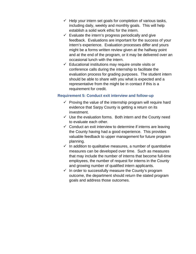- $\checkmark$  Help your intern set goals for completion of various tasks, including daily, weekly and monthly goals. This will help establish a solid work ethic for the intern.
- $\checkmark$  Evaluate the intern's progress periodically and give feedback. Evaluations are important for the success of your intern's experience. Evaluation processes differ and yours might be a forms written review given at the halfway point and at the end of the program, or it may be delivered over an occasional lunch with the intern.
- $\checkmark$  Educational institutions may require onsite visits or conference calls during the internship to facilitate the evaluation process for grading purposes. The student intern should be able to share with you what is expected and a representative from the might be in contact if this is a requirement for credit.

#### **Requirement 5: Conduct exit interview and follow-up**

- $\checkmark$  Proving the value of the internship program will require hard evidence that Sarpy County is getting a return on its investment.
- $\checkmark$  Use the evaluation forms. Both intern and the County need to evaluate each other.
- $\checkmark$  Conduct an exit interview to determine if interns are leaving the County having had a good experience. This provides valuable feedback to upper management for future program planning.
- $\checkmark$  In addition to qualitative measures, a number of quantitative measures can be developed over time. Such as measures that may include the number of interns that become full-time employees, the number of request for interns in the County and growing number of qualified intern applicants.
- $\checkmark$  In order to successfully measure the County's program outcome, the department should return the stated program goals and address those outcomes.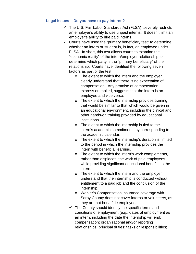#### **Legal Issues – Do you have to pay interns?**

- $\checkmark$  The U.S. Fair Labor Standards Act (FLSA), severely restricts an employer's ability to use unpaid interns. It doesn't limit an employer's ability to hire paid interns.
- $\checkmark$  Courts have used the "primary beneficiary test" to determine whether an intern or student is, in fact, an employee under FLSA. In short, this test allows courts to examine the "economic reality" of the intern/employer relationship to determine which party is the "primary beneficiary" of the relationship. Courts have identified the following seven factors as part of the test:
	- o The extent to which the intern and the employer clearly understand that there is no expectation of compensation. Any promise of compensation, express or implied, suggests that the intern is an employee and vice versa.
	- o The extent to which the internship provides training that would be similar to that which would be given in an educational environment, including the clinical and other hands-on training provided by educational institutions.
	- o The extent to which the internship is tied to the intern's academic commitments by corresponding to the academic calendar.
	- o The extent to which the internship's duration is limited to the period in which the internship provides the intern with beneficial learning.
	- o The extent to which the intern's work complements, rather than displaces, the work of paid employees while providing significant educational benefits to the intern.
	- o The extent to which the intern and the employer understand that the internship is conducted without entitlement to a paid job and the conclusion of the internship.
	- o Worker's Compensation insurance coverage with Sarpy County does not cover interns or volunteers, as they are not bona fide employees.
	- $\checkmark$  The County should identify the specific terms and conditions of employment (e.g., dates of employment as an intern, including the date the internship will end; compensation; organizational and/or reporting relationships; principal duties; tasks or responsibilities;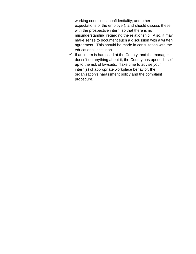working conditions; confidentiality; and other expectations of the employer), and should discuss these with the prospective intern, so that there is no misunderstanding regarding the relationship. Also, it may make sense to document such a discussion with a written agreement. This should be made in consultation with the educational institution.

 $\checkmark$  If an intern is harassed at the County, and the manager doesn't do anything about it, the County has opened itself up to the risk of lawsuits. Take time to advise your intern(s) of appropriate workplace behavior, the organization's harassment policy and the complaint procedure.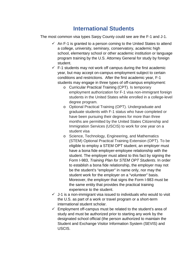# **International Students**

The most common visa types Sarpy County could see are the F-1 and J-1.

- $\checkmark$  An F-1 is granted to a person coming to the United States to attend a college, university, seminary, conservatory, academic high school, elementary school or other academic institution or language program training by the U.S. Attorney General for study by foreign student.
- $\checkmark$  F-1 students may not work off campus during the first academic year, but may accept on-campus employment subject to certain conditions and restrictions. After the first academic year, F-1 students may engage in three types of off-campus employment:
	- o Curricular Practical Training (CPT). Is temporary employment authorization for F-1 visa non-immigrant foreign students in the United States while enrolled in a college-level degree program.
	- o Optional Practical Training (OPT). Undergraduate and graduate students with F-1 status who have completed or have been pursuing their degrees for more than three months are permitted by the United States Citizenship and Immigration Services (USCIS) to work for one year on a student visa
	- o Science, Technology, Engineering, and Mathematics (STEM) Optional Practical Training Extension (OPT). To be eligible to employ a STEM OPT student, an employer must have a bona fide employer-employee relationship with the student. The employer must attest to this fact by signing the Form I-983, *Training Plan for STEM OPT Students*. In order to establish a bona fide relationship, the employer may not be the student's "employer" in name only, nor may the student work for the employer on a "volunteer" basis. Moreover, the employer that signs the Form I-983 must be the same entity that provides the practical training experience to the student.
- $\checkmark$  J-1 is a non-immigrant visa issued to individuals who would to visit the U.S. as part of a work or travel program or a short-term international student scholar.
- $\checkmark$  Employment off-campus must be related to the student's area of study and must be authorized prior to starting any work by the designated school official (the person authorized to maintain the Student and Exchange Visitor Information System (SEVIS) and USCIS.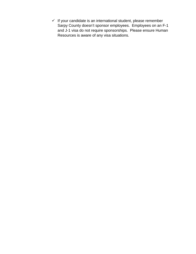$\checkmark$  If your candidate is an international student, please remember Sarpy County doesn't sponsor employees. Employees on an F-1 and J-1 visa do not require sponsorships. Please ensure Human Resources is aware of any visa situations.